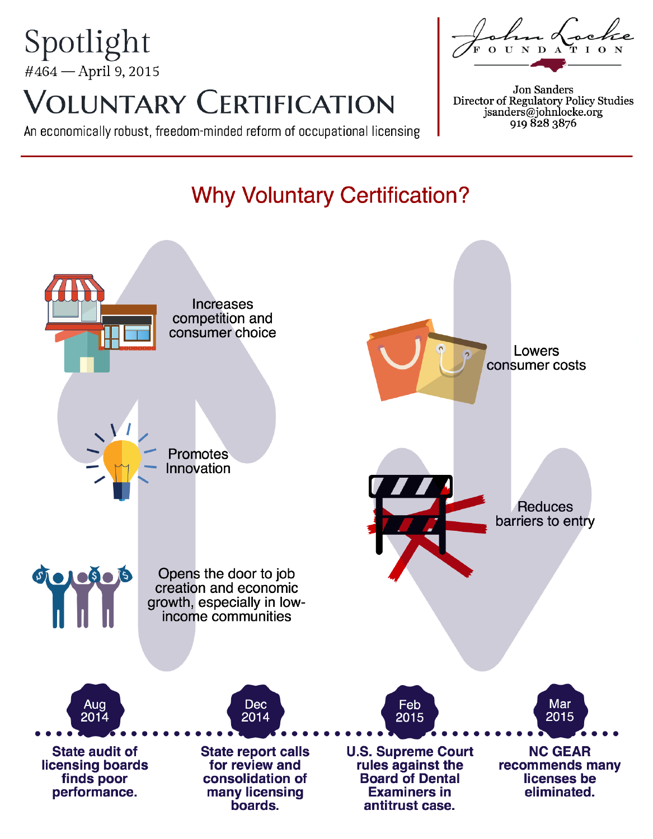## Spotlight #464 - April 9, 2015 **VOLUNTARY CERTIFICATION**

An economically robust, freedom-minded reform of occupational licensing

# n Loc

Jon Sanders Director of Regulatory Policy Studies<br>jsanders@johnlocke.org 919 828 3876

## **Why Voluntary Certification?**

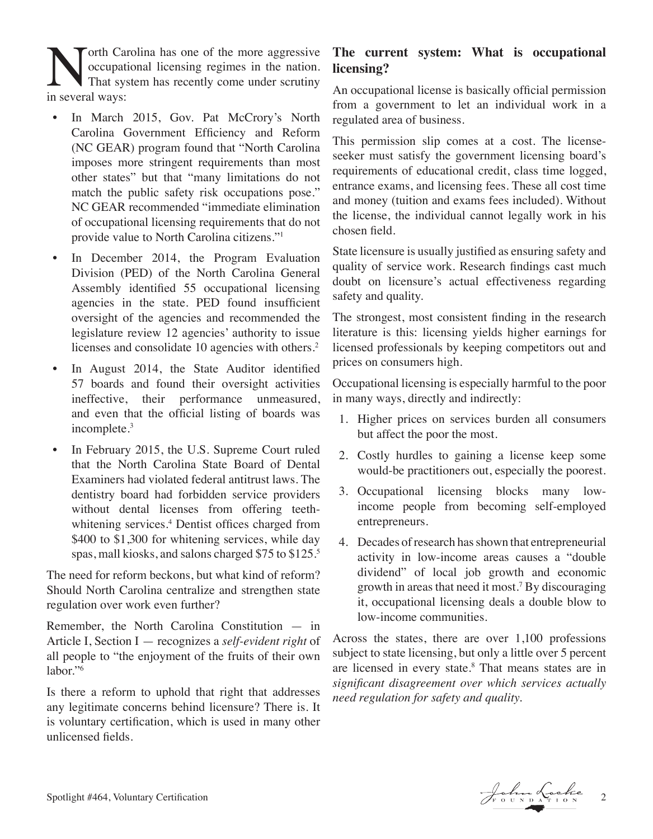**North Carolina has one of the more aggressive**<br>occupational licensing regimes in the nation.<br>That system has recently come under scrutiny<br>in several wavs: occupational licensing regimes in the nation. That system has recently come under scrutiny in several ways:

- In March 2015, Gov. Pat McCrory's North Carolina Government Efficiency and Reform (NC GEAR) program found that "North Carolina imposes more stringent requirements than most other states" but that "many limitations do not match the public safety risk occupations pose." NC GEAR recommended "immediate elimination of occupational licensing requirements that do not provide value to North Carolina citizens."1
- In December 2014, the Program Evaluation Division (PED) of the North Carolina General Assembly identified 55 occupational licensing agencies in the state. PED found insufficient oversight of the agencies and recommended the legislature review 12 agencies' authority to issue licenses and consolidate 10 agencies with others.<sup>2</sup>
- In August 2014, the State Auditor identified 57 boards and found their oversight activities ineffective, their performance unmeasured, and even that the official listing of boards was incomplete.3
- In February 2015, the U.S. Supreme Court ruled that the North Carolina State Board of Dental Examiners had violated federal antitrust laws. The dentistry board had forbidden service providers without dental licenses from offering teethwhitening services.<sup>4</sup> Dentist offices charged from \$400 to \$1,300 for whitening services, while day spas, mall kiosks, and salons charged \$75 to \$125.5

The need for reform beckons, but what kind of reform? Should North Carolina centralize and strengthen state regulation over work even further?

Remember, the North Carolina Constitution — in Article I, Section I — recognizes a *self-evident right* of all people to "the enjoyment of the fruits of their own labor."6

Is there a reform to uphold that right that addresses any legitimate concerns behind licensure? There is. It is voluntary certification, which is used in many other unlicensed fields.

### **The current system: What is occupational licensing?**

An occupational license is basically official permission from a government to let an individual work in a regulated area of business.

This permission slip comes at a cost. The licenseseeker must satisfy the government licensing board's requirements of educational credit, class time logged, entrance exams, and licensing fees. These all cost time and money (tuition and exams fees included). Without the license, the individual cannot legally work in his chosen field.

State licensure is usually justified as ensuring safety and quality of service work. Research findings cast much doubt on licensure's actual effectiveness regarding safety and quality.

The strongest, most consistent finding in the research literature is this: licensing yields higher earnings for licensed professionals by keeping competitors out and prices on consumers high.

Occupational licensing is especially harmful to the poor in many ways, directly and indirectly:

- 1. Higher prices on services burden all consumers but affect the poor the most.
- 2. Costly hurdles to gaining a license keep some would-be practitioners out, especially the poorest.
- 3. Occupational licensing blocks many lowincome people from becoming self-employed entrepreneurs.
- 4. Decades of research has shown that entrepreneurial activity in low-income areas causes a "double dividend" of local job growth and economic growth in areas that need it most.7 By discouraging it, occupational licensing deals a double blow to low-income communities.

Across the states, there are over 1,100 professions subject to state licensing, but only a little over 5 percent are licensed in every state.<sup>8</sup> That means states are in *significant disagreement over which services actually need regulation for safety and quality.*

Spotlight #464, Voluntary Certification 2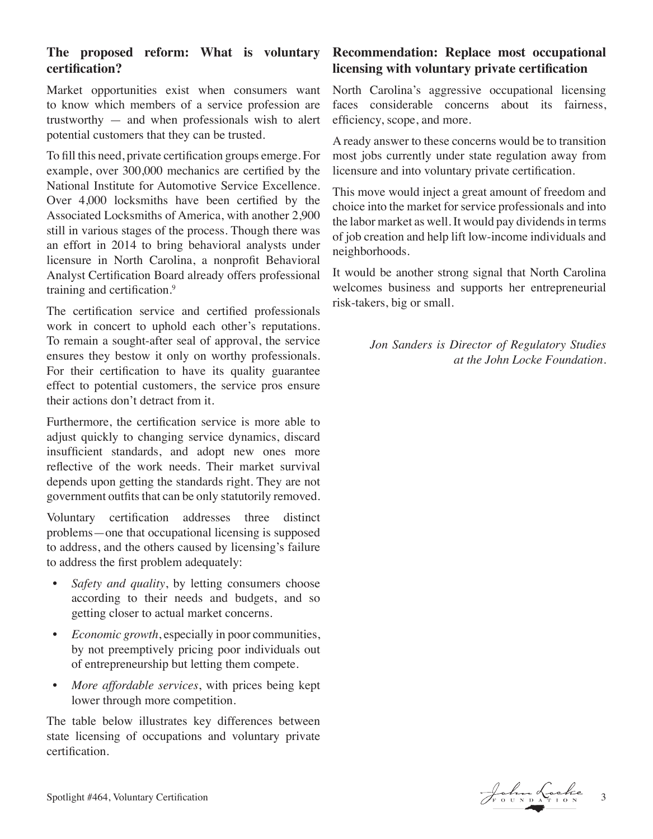#### **The proposed reform: What is voluntary certification?**

Market opportunities exist when consumers want to know which members of a service profession are trustworthy — and when professionals wish to alert potential customers that they can be trusted.

To fill this need, private certification groups emerge. For example, over 300,000 mechanics are certified by the National Institute for Automotive Service Excellence. Over 4,000 locksmiths have been certified by the Associated Locksmiths of America, with another 2,900 still in various stages of the process. Though there was an effort in 2014 to bring behavioral analysts under licensure in North Carolina, a nonprofit Behavioral Analyst Certification Board already offers professional training and certification.9

The certification service and certified professionals work in concert to uphold each other's reputations. To remain a sought-after seal of approval, the service ensures they bestow it only on worthy professionals. For their certification to have its quality guarantee effect to potential customers, the service pros ensure their actions don't detract from it.

Furthermore, the certification service is more able to adjust quickly to changing service dynamics, discard insufficient standards, and adopt new ones more reflective of the work needs. Their market survival depends upon getting the standards right. They are not government outfits that can be only statutorily removed.

Voluntary certification addresses three distinct problems—one that occupational licensing is supposed to address, and the others caused by licensing's failure to address the first problem adequately:

- *Safety and quality*, by letting consumers choose according to their needs and budgets, and so getting closer to actual market concerns.
- *• Economic growth*, especially in poor communities, by not preemptively pricing poor individuals out of entrepreneurship but letting them compete.
- *• More affordable services*, with prices being kept lower through more competition.

The table below illustrates key differences between state licensing of occupations and voluntary private certification.

### **Recommendation: Replace most occupational licensing with voluntary private certification**

North Carolina's aggressive occupational licensing faces considerable concerns about its fairness, efficiency, scope, and more.

A ready answer to these concerns would be to transition most jobs currently under state regulation away from licensure and into voluntary private certification.

This move would inject a great amount of freedom and choice into the market for service professionals and into the labor market as well. It would pay dividends in terms of job creation and help lift low-income individuals and neighborhoods.

It would be another strong signal that North Carolina welcomes business and supports her entrepreneurial risk-takers, big or small.

> *Jon Sanders is Director of Regulatory Studies at the John Locke Foundation.*

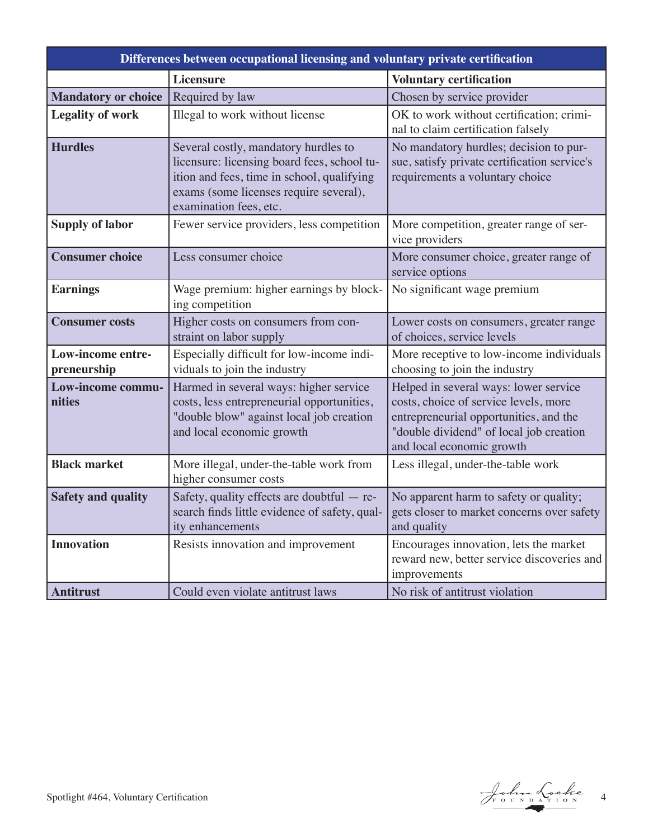| Differences between occupational licensing and voluntary private certification |                                                                                                                                                                                                       |                                                                                                                                                                                                  |
|--------------------------------------------------------------------------------|-------------------------------------------------------------------------------------------------------------------------------------------------------------------------------------------------------|--------------------------------------------------------------------------------------------------------------------------------------------------------------------------------------------------|
|                                                                                | <b>Licensure</b>                                                                                                                                                                                      | <b>Voluntary certification</b>                                                                                                                                                                   |
| <b>Mandatory or choice</b>                                                     | Required by law                                                                                                                                                                                       | Chosen by service provider                                                                                                                                                                       |
| <b>Legality of work</b>                                                        | Illegal to work without license                                                                                                                                                                       | OK to work without certification; crimi-<br>nal to claim certification falsely                                                                                                                   |
| <b>Hurdles</b>                                                                 | Several costly, mandatory hurdles to<br>licensure: licensing board fees, school tu-<br>ition and fees, time in school, qualifying<br>exams (some licenses require several),<br>examination fees, etc. | No mandatory hurdles; decision to pur-<br>sue, satisfy private certification service's<br>requirements a voluntary choice                                                                        |
| <b>Supply of labor</b>                                                         | Fewer service providers, less competition                                                                                                                                                             | More competition, greater range of ser-<br>vice providers                                                                                                                                        |
| <b>Consumer choice</b>                                                         | Less consumer choice                                                                                                                                                                                  | More consumer choice, greater range of<br>service options                                                                                                                                        |
| <b>Earnings</b>                                                                | Wage premium: higher earnings by block-<br>ing competition                                                                                                                                            | No significant wage premium                                                                                                                                                                      |
| <b>Consumer costs</b>                                                          | Higher costs on consumers from con-<br>straint on labor supply                                                                                                                                        | Lower costs on consumers, greater range<br>of choices, service levels                                                                                                                            |
| Low-income entre-<br>preneurship                                               | Especially difficult for low-income indi-<br>viduals to join the industry                                                                                                                             | More receptive to low-income individuals<br>choosing to join the industry                                                                                                                        |
| Low-income commu-<br>nities                                                    | Harmed in several ways: higher service<br>costs, less entrepreneurial opportunities,<br>"double blow" against local job creation<br>and local economic growth                                         | Helped in several ways: lower service<br>costs, choice of service levels, more<br>entrepreneurial opportunities, and the<br>"double dividend" of local job creation<br>and local economic growth |
| <b>Black market</b>                                                            | More illegal, under-the-table work from<br>higher consumer costs                                                                                                                                      | Less illegal, under-the-table work                                                                                                                                                               |
| <b>Safety and quality</b>                                                      | Safety, quality effects are doubtful - re-<br>search finds little evidence of safety, qual-<br>ity enhancements                                                                                       | No apparent harm to safety or quality;<br>gets closer to market concerns over safety<br>and quality                                                                                              |
| <b>Innovation</b>                                                              | Resists innovation and improvement                                                                                                                                                                    | Encourages innovation, lets the market<br>reward new, better service discoveries and<br>improvements                                                                                             |
| <b>Antitrust</b>                                                               | Could even violate antitrust laws                                                                                                                                                                     | No risk of antitrust violation                                                                                                                                                                   |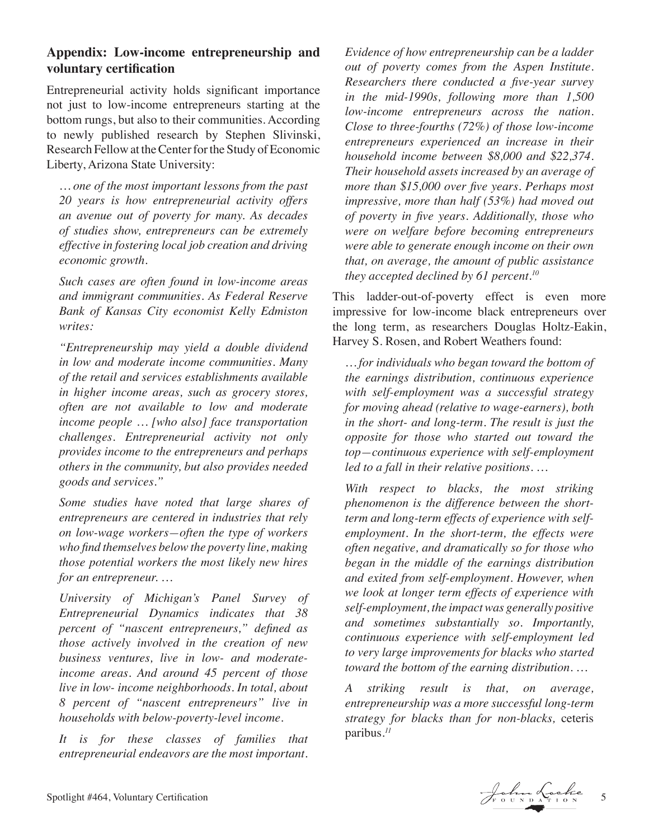#### **Appendix: Low-income entrepreneurship and voluntary certification**

Entrepreneurial activity holds significant importance not just to low-income entrepreneurs starting at the bottom rungs, but also to their communities. According to newly published research by Stephen Slivinski, Research Fellow at the Center for the Study of Economic Liberty, Arizona State University:

*… one of the most important lessons from the past 20 years is how entrepreneurial activity offers an avenue out of poverty for many. As decades of studies show, entrepreneurs can be extremely effective in fostering local job creation and driving economic growth.*

*Such cases are often found in low-income areas and immigrant communities. As Federal Reserve Bank of Kansas City economist Kelly Edmiston writes:* 

*"Entrepreneurship may yield a double dividend in low and moderate income communities. Many of the retail and services establishments available in higher income areas, such as grocery stores, often are not available to low and moderate income people … [who also] face transportation challenges. Entrepreneurial activity not only provides income to the entrepreneurs and perhaps others in the community, but also provides needed goods and services."*

*Some studies have noted that large shares of entrepreneurs are centered in industries that rely on low-wage workers—often the type of workers who find themselves below the poverty line, making those potential workers the most likely new hires for an entrepreneur. …* 

*University of Michigan's Panel Survey of Entrepreneurial Dynamics indicates that 38 percent of "nascent entrepreneurs," defined as those actively involved in the creation of new business ventures, live in low- and moderateincome areas. And around 45 percent of those live in low- income neighborhoods. In total, about 8 percent of "nascent entrepreneurs" live in households with below-poverty-level income.*

*It is for these classes of families that entrepreneurial endeavors are the most important.* 

*Evidence of how entrepreneurship can be a ladder out of poverty comes from the Aspen Institute. Researchers there conducted a five-year survey in the mid-1990s, following more than 1,500 low-income entrepreneurs across the nation. Close to three-fourths (72%) of those low-income entrepreneurs experienced an increase in their household income between \$8,000 and \$22,374. Their household assets increased by an average of more than \$15,000 over five years. Perhaps most impressive, more than half (53%) had moved out of poverty in five years. Additionally, those who were on welfare before becoming entrepreneurs were able to generate enough income on their own that, on average, the amount of public assistance they accepted declined by 61 percent.10*

This ladder-out-of-poverty effect is even more impressive for low-income black entrepreneurs over the long term, as researchers Douglas Holtz-Eakin, Harvey S. Rosen, and Robert Weathers found:

*… for individuals who began toward the bottom of the earnings distribution, continuous experience with self-employment was a successful strategy for moving ahead (relative to wage-earners), both in the short- and long-term. The result is just the opposite for those who started out toward the top—continuous experience with self-employment led to a fall in their relative positions. …*

*With respect to blacks, the most striking phenomenon is the difference between the shortterm and long-term effects of experience with selfemployment. In the short-term, the effects were often negative, and dramatically so for those who began in the middle of the earnings distribution and exited from self-employment. However, when we look at longer term effects of experience with self-employment, the impact was generally positive and sometimes substantially so. Importantly, continuous experience with self-employment led to very large improvements for blacks who started toward the bottom of the earning distribution. …*

*A striking result is that, on average, entrepreneurship was a more successful long-term strategy for blacks than for non-blacks,* ceteris paribus*. 11*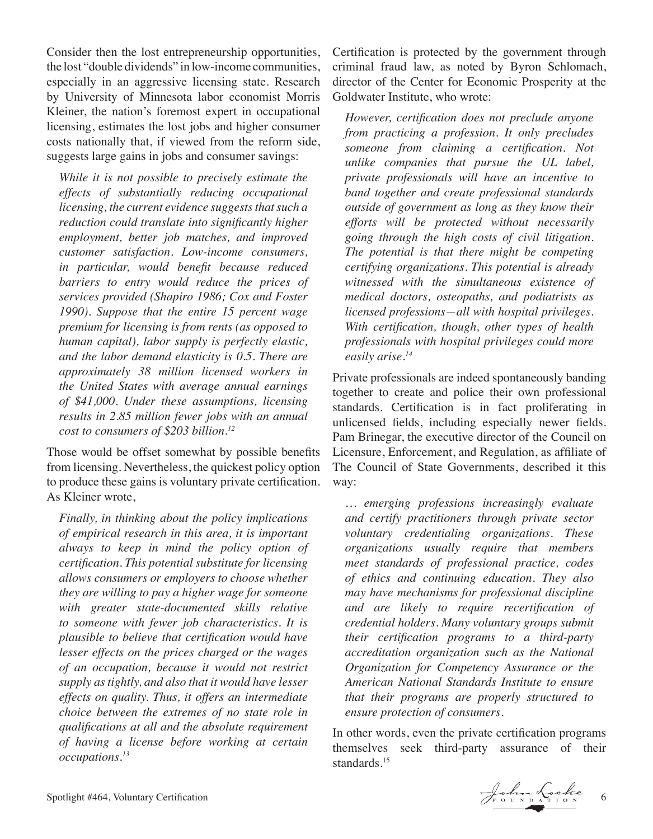Consider then the lost entrepreneurship opportunities, the lost "double dividends" in low-income communities, especially in an aggressive licensing state. Research by University of Minnesota labor economist Morris Kleiner, the nation's foremost expert in occupational licensing, estimates the lost jobs and higher consumer costs nationally that, if viewed from the reform side, suggests large gains in jobs and consumer savings:

*While it is not possible to precisely estimate the effects of substantially reducing occupational licensing, the current evidence suggests that such a reduction could translate into significantly higher employment, better job matches, and improved customer satisfaction. Low-income consumers, in particular, would benefit because reduced barriers to entry would reduce the prices of services provided (Shapiro 1986; Cox and Foster 1990). Suppose that the entire 15 percent wage premium for licensing is from rents (as opposed to human capital), labor supply is perfectly elastic, and the labor demand elasticity is 0.5. There are approximately 38 million licensed workers in the United States with average annual earnings of \$41,000. Under these assumptions, licensing results in 2.85 million fewer jobs with an annual cost to consumers of \$203 billion.12*

Those would be offset somewhat by possible benefits from licensing. Nevertheless, the quickest policy option to produce these gains is voluntary private certification. As Kleiner wrote,

*Finally, in thinking about the policy implications of empirical research in this area, it is important always to keep in mind the policy option of certification. This potential substitute for licensing allows consumers or employers to choose whether they are willing to pay a higher wage for someone with greater state-documented skills relative to someone with fewer job characteristics. It is plausible to believe that certification would have lesser effects on the prices charged or the wages of an occupation, because it would not restrict supply as tightly, and also that it would have lesser effects on quality. Thus, it offers an intermediate choice between the extremes of no state role in qualifications at all and the absolute requirement of having a license before working at certain occupations.13*

Certification is protected by the government through criminal fraud law, as noted by Byron Schlomach, director of the Center for Economic Prosperity at the Goldwater Institute, who wrote:

*However, certification does not preclude anyone from practicing a profession. It only precludes someone from claiming a certification. Not unlike companies that pursue the UL label, private professionals will have an incentive to band together and create professional standards outside of government as long as they know their efforts will be protected without necessarily going through the high costs of civil litigation. The potential is that there might be competing certifying organizations. This potential is already witnessed with the simultaneous existence of medical doctors, osteopaths, and podiatrists as licensed professions—all with hospital privileges. With certification, though, other types of health professionals with hospital privileges could more easily arise.14*

Private professionals are indeed spontaneously banding together to create and police their own professional standards. Certification is in fact proliferating in unlicensed fields, including especially newer fields. Pam Brinegar, the executive director of the Council on Licensure, Enforcement, and Regulation, as affiliate of The Council of State Governments, described it this way:

*… emerging professions increasingly evaluate and certify practitioners through private sector voluntary credentialing organizations. These organizations usually require that members meet standards of professional practice, codes of ethics and continuing education. They also may have mechanisms for professional discipline and are likely to require recertification of credential holders. Many voluntary groups submit their certification programs to a third-party accreditation organization such as the National Organization for Competency Assurance or the American National Standards Institute to ensure that their programs are properly structured to ensure protection of consumers.*

In other words, even the private certification programs themselves seek third-party assurance of their standards.<sup>15</sup>

Spotlight #464, Voluntary Certification 6